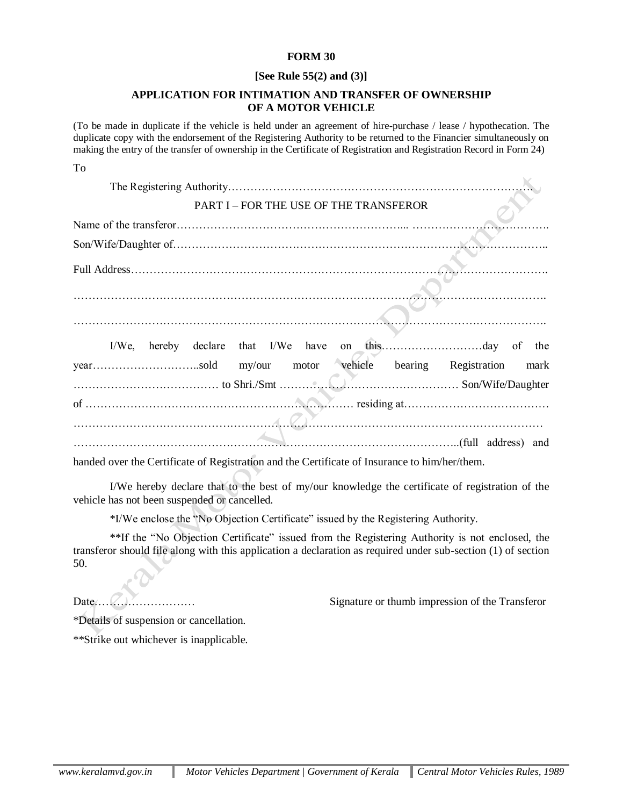## **FORM 30**

## **[See Rule 55(2) and (3)]**

## **APPLICATION FOR INTIMATION AND TRANSFER OF OWNERSHIP OF A MOTOR VEHICLE**

(To be made in duplicate if the vehicle is held under an agreement of hire-purchase / lease / hypothecation. The duplicate copy with the endorsement of the Registering Authority to be returned to the Financier simultaneously on making the entry of the transfer of ownership in the Certificate of Registration and Registration Record in Form 24)

|                                                                                                                                                                                                                                                   | <b>PART I-FOR THE USE OF THE TRANSFEROR</b>     |              |      |
|---------------------------------------------------------------------------------------------------------------------------------------------------------------------------------------------------------------------------------------------------|-------------------------------------------------|--------------|------|
|                                                                                                                                                                                                                                                   |                                                 |              |      |
|                                                                                                                                                                                                                                                   |                                                 |              |      |
|                                                                                                                                                                                                                                                   |                                                 |              |      |
|                                                                                                                                                                                                                                                   |                                                 |              |      |
|                                                                                                                                                                                                                                                   |                                                 |              |      |
| $I/We$ ,                                                                                                                                                                                                                                          |                                                 |              |      |
|                                                                                                                                                                                                                                                   |                                                 | Registration | mark |
|                                                                                                                                                                                                                                                   |                                                 |              |      |
| $\mathbb{Z}$ . The continuum contract of $\mathbb{Z}$ , $\mathbb{Z}$ , $\mathbb{Z}$ , $\mathbb{Z}$ , and the contract of the contract of the contract of the contract of the contract of the contract of the contract of the contract of the cont |                                                 |              |      |
|                                                                                                                                                                                                                                                   |                                                 |              |      |
|                                                                                                                                                                                                                                                   | the contract of the contract of the contract of |              |      |

handed over the Certificate of Registration and the Certificate of Insurance to him/her/them.

I/We hereby declare that to the best of my/our knowledge the certificate of registration of the vehicle has not been suspended or cancelled.

\*I/We enclose the "No Objection Certificate" issued by the Registering Authority.

\*\*If the "No Objection Certificate" issued from the Registering Authority is not enclosed, the transferor should file along with this application a declaration as required under sub-section (1) of section 50.

To

Date……………………… Signature or thumb impression of the Transferor

\*Details of suspension or cancellation.

\*\*Strike out whichever is inapplicable.